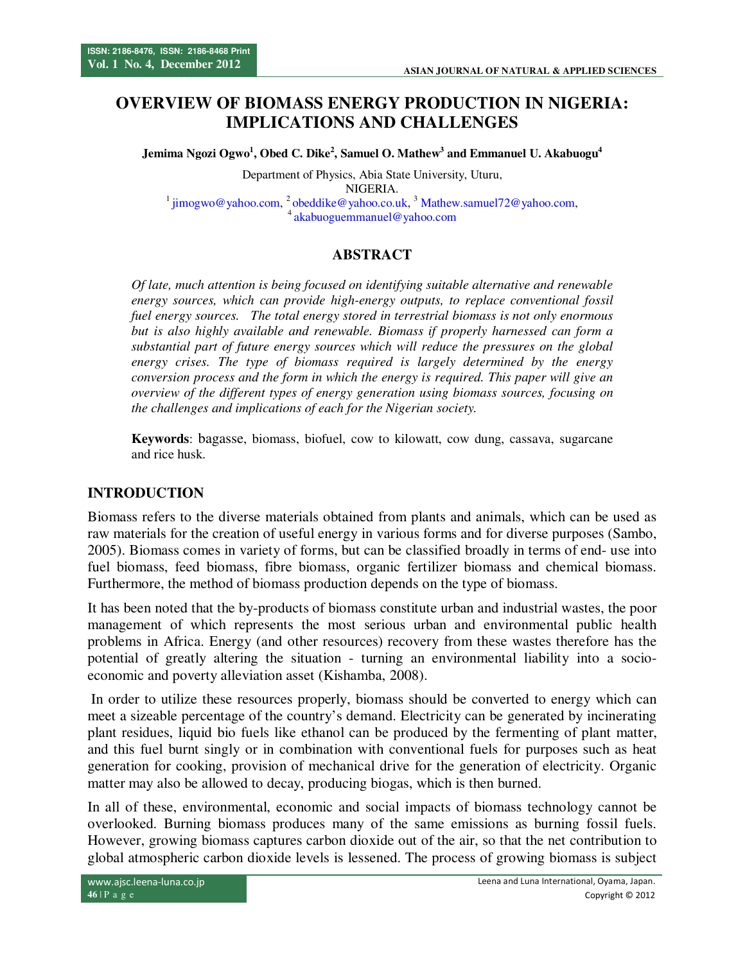# **OVERVIEW OF BIOMASS ENERGY PRODUCTION IN NIGERIA: IMPLICATIONS AND CHALLENGES**

**Jemima Ngozi Ogwo<sup>1</sup> , Obed C. Dike<sup>2</sup> , Samuel O. Mathew<sup>3</sup> and Emmanuel U. Akabuogu<sup>4</sup>**

Department of Physics, Abia State University, Uturu, NIGERIA.  $1$  jimogwo@yahoo.com,  $2$  obeddike@yahoo.co.uk,  $3$  Mathew.samuel72@yahoo.com, <sup>4</sup>akabuoguemmanuel@yahoo.com

## **ABSTRACT**

*Of late, much attention is being focused on identifying suitable alternative and renewable energy sources, which can provide high-energy outputs, to replace conventional fossil fuel energy sources. The total energy stored in terrestrial biomass is not only enormous but is also highly available and renewable. Biomass if properly harnessed can form a substantial part of future energy sources which will reduce the pressures on the global energy crises. The type of biomass required is largely determined by the energy conversion process and the form in which the energy is required. This paper will give an overview of the different types of energy generation using biomass sources, focusing on the challenges and implications of each for the Nigerian society.* 

**Keywords**: bagasse, biomass, biofuel, cow to kilowatt, cow dung, cassava, sugarcane and rice husk.

### **INTRODUCTION**

Biomass refers to the diverse materials obtained from plants and animals, which can be used as raw materials for the creation of useful energy in various forms and for diverse purposes (Sambo, 2005). Biomass comes in variety of forms, but can be classified broadly in terms of end- use into fuel biomass, feed biomass, fibre biomass, organic fertilizer biomass and chemical biomass. Furthermore, the method of biomass production depends on the type of biomass.

It has been noted that the by-products of biomass constitute urban and industrial wastes, the poor management of which represents the most serious urban and environmental public health problems in Africa. Energy (and other resources) recovery from these wastes therefore has the potential of greatly altering the situation - turning an environmental liability into a socioeconomic and poverty alleviation asset (Kishamba, 2008).

 In order to utilize these resources properly, biomass should be converted to energy which can meet a sizeable percentage of the country's demand. Electricity can be generated by incinerating plant residues, liquid bio fuels like ethanol can be produced by the fermenting of plant matter, and this fuel burnt singly or in combination with conventional fuels for purposes such as heat generation for cooking, provision of mechanical drive for the generation of electricity. Organic matter may also be allowed to decay, producing biogas, which is then burned.

In all of these, environmental, economic and social impacts of biomass technology cannot be overlooked. Burning biomass produces many of the same emissions as burning fossil fuels. However, growing biomass captures carbon dioxide out of the air, so that the net contribution to global atmospheric carbon dioxide levels is lessened. The process of growing biomass is subject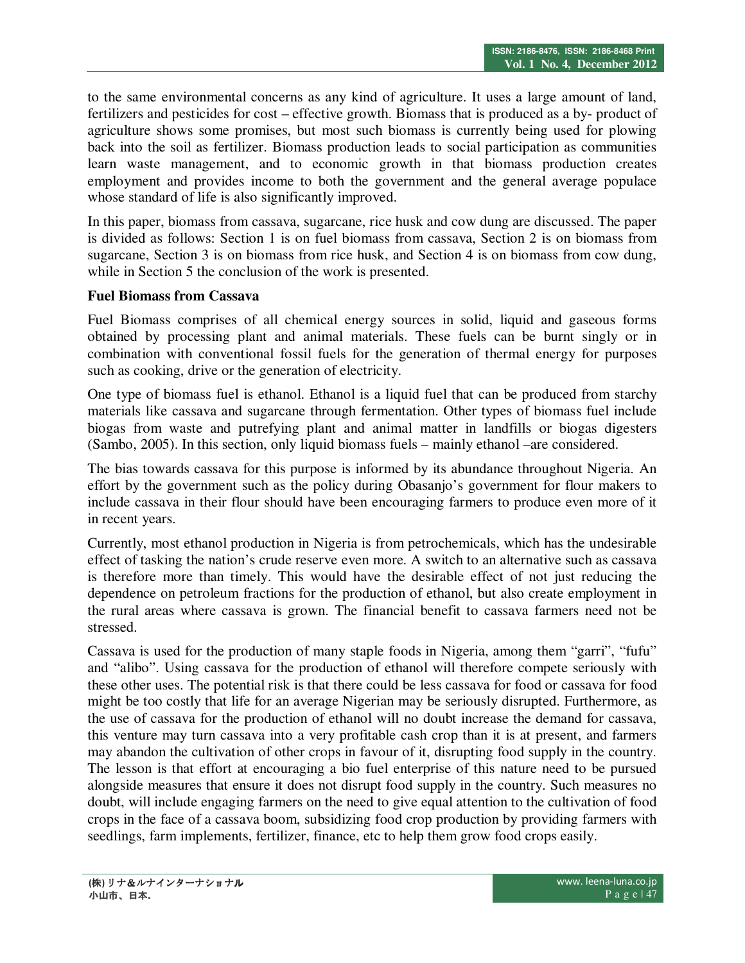to the same environmental concerns as any kind of agriculture. It uses a large amount of land, fertilizers and pesticides for cost – effective growth. Biomass that is produced as a by- product of agriculture shows some promises, but most such biomass is currently being used for plowing back into the soil as fertilizer. Biomass production leads to social participation as communities learn waste management, and to economic growth in that biomass production creates employment and provides income to both the government and the general average populace whose standard of life is also significantly improved.

In this paper, biomass from cassava, sugarcane, rice husk and cow dung are discussed. The paper is divided as follows: Section 1 is on fuel biomass from cassava, Section 2 is on biomass from sugarcane, Section 3 is on biomass from rice husk, and Section 4 is on biomass from cow dung, while in Section 5 the conclusion of the work is presented.

#### **Fuel Biomass from Cassava**

Fuel Biomass comprises of all chemical energy sources in solid, liquid and gaseous forms obtained by processing plant and animal materials. These fuels can be burnt singly or in combination with conventional fossil fuels for the generation of thermal energy for purposes such as cooking, drive or the generation of electricity.

One type of biomass fuel is ethanol. Ethanol is a liquid fuel that can be produced from starchy materials like cassava and sugarcane through fermentation. Other types of biomass fuel include biogas from waste and putrefying plant and animal matter in landfills or biogas digesters (Sambo, 2005). In this section, only liquid biomass fuels – mainly ethanol –are considered.

The bias towards cassava for this purpose is informed by its abundance throughout Nigeria. An effort by the government such as the policy during Obasanjo's government for flour makers to include cassava in their flour should have been encouraging farmers to produce even more of it in recent years.

Currently, most ethanol production in Nigeria is from petrochemicals, which has the undesirable effect of tasking the nation's crude reserve even more. A switch to an alternative such as cassava is therefore more than timely. This would have the desirable effect of not just reducing the dependence on petroleum fractions for the production of ethanol, but also create employment in the rural areas where cassava is grown. The financial benefit to cassava farmers need not be stressed.

Cassava is used for the production of many staple foods in Nigeria, among them "garri", "fufu" and "alibo". Using cassava for the production of ethanol will therefore compete seriously with these other uses. The potential risk is that there could be less cassava for food or cassava for food might be too costly that life for an average Nigerian may be seriously disrupted. Furthermore, as the use of cassava for the production of ethanol will no doubt increase the demand for cassava, this venture may turn cassava into a very profitable cash crop than it is at present, and farmers may abandon the cultivation of other crops in favour of it, disrupting food supply in the country. The lesson is that effort at encouraging a bio fuel enterprise of this nature need to be pursued alongside measures that ensure it does not disrupt food supply in the country. Such measures no doubt, will include engaging farmers on the need to give equal attention to the cultivation of food crops in the face of a cassava boom, subsidizing food crop production by providing farmers with seedlings, farm implements, fertilizer, finance, etc to help them grow food crops easily.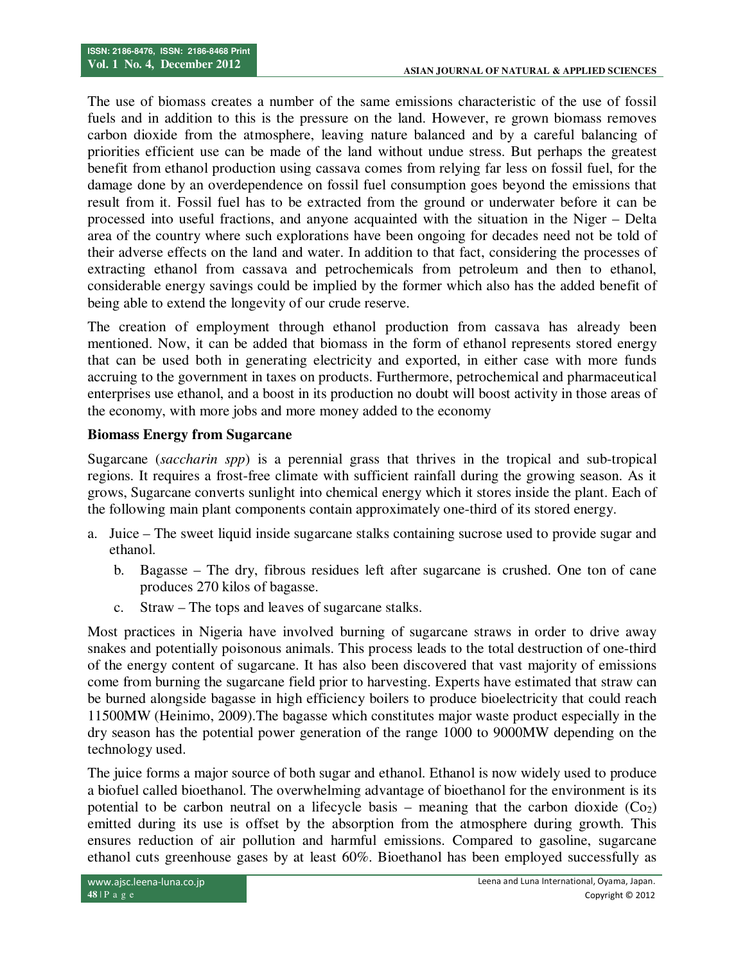The use of biomass creates a number of the same emissions characteristic of the use of fossil fuels and in addition to this is the pressure on the land. However, re grown biomass removes carbon dioxide from the atmosphere, leaving nature balanced and by a careful balancing of priorities efficient use can be made of the land without undue stress. But perhaps the greatest benefit from ethanol production using cassava comes from relying far less on fossil fuel, for the damage done by an overdependence on fossil fuel consumption goes beyond the emissions that result from it. Fossil fuel has to be extracted from the ground or underwater before it can be processed into useful fractions, and anyone acquainted with the situation in the Niger – Delta area of the country where such explorations have been ongoing for decades need not be told of their adverse effects on the land and water. In addition to that fact, considering the processes of extracting ethanol from cassava and petrochemicals from petroleum and then to ethanol, considerable energy savings could be implied by the former which also has the added benefit of being able to extend the longevity of our crude reserve.

The creation of employment through ethanol production from cassava has already been mentioned. Now, it can be added that biomass in the form of ethanol represents stored energy that can be used both in generating electricity and exported, in either case with more funds accruing to the government in taxes on products. Furthermore, petrochemical and pharmaceutical enterprises use ethanol, and a boost in its production no doubt will boost activity in those areas of the economy, with more jobs and more money added to the economy

### **Biomass Energy from Sugarcane**

Sugarcane (*saccharin spp*) is a perennial grass that thrives in the tropical and sub-tropical regions. It requires a frost-free climate with sufficient rainfall during the growing season. As it grows, Sugarcane converts sunlight into chemical energy which it stores inside the plant. Each of the following main plant components contain approximately one-third of its stored energy.

- a. Juice The sweet liquid inside sugarcane stalks containing sucrose used to provide sugar and ethanol.
	- b. Bagasse The dry, fibrous residues left after sugarcane is crushed. One ton of cane produces 270 kilos of bagasse.
	- c. Straw The tops and leaves of sugarcane stalks.

Most practices in Nigeria have involved burning of sugarcane straws in order to drive away snakes and potentially poisonous animals. This process leads to the total destruction of one-third of the energy content of sugarcane. It has also been discovered that vast majority of emissions come from burning the sugarcane field prior to harvesting. Experts have estimated that straw can be burned alongside bagasse in high efficiency boilers to produce bioelectricity that could reach 11500MW (Heinimo, 2009).The bagasse which constitutes major waste product especially in the dry season has the potential power generation of the range 1000 to 9000MW depending on the technology used.

The juice forms a major source of both sugar and ethanol. Ethanol is now widely used to produce a biofuel called bioethanol. The overwhelming advantage of bioethanol for the environment is its potential to be carbon neutral on a lifecycle basis – meaning that the carbon dioxide  $(Co<sub>2</sub>)$ emitted during its use is offset by the absorption from the atmosphere during growth. This ensures reduction of air pollution and harmful emissions. Compared to gasoline, sugarcane ethanol cuts greenhouse gases by at least 60%. Bioethanol has been employed successfully as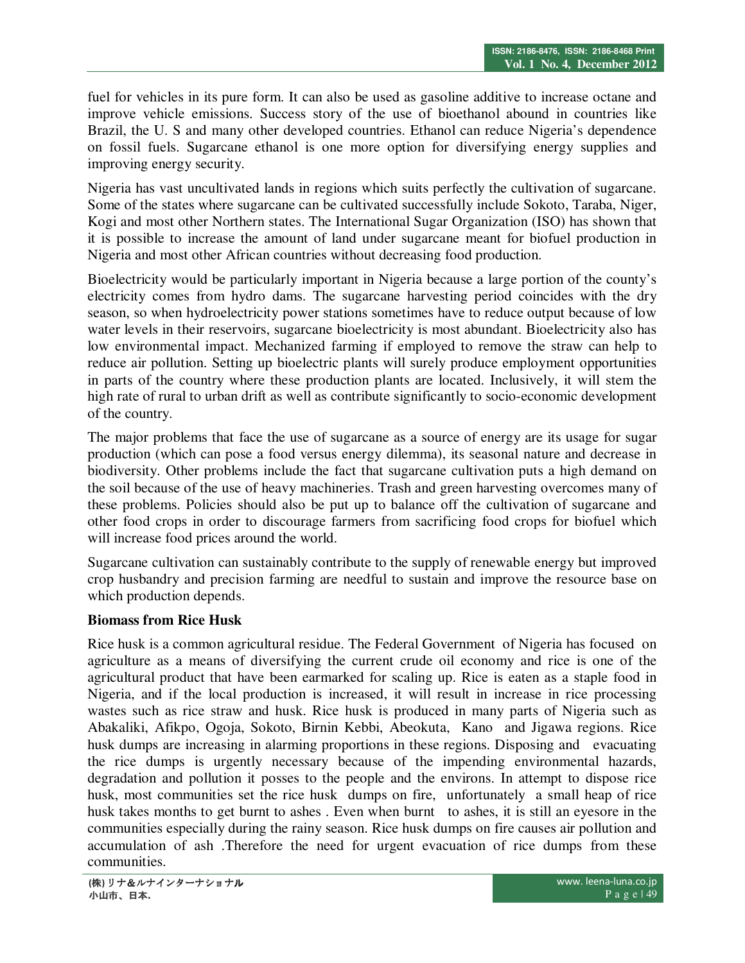fuel for vehicles in its pure form. It can also be used as gasoline additive to increase octane and improve vehicle emissions. Success story of the use of bioethanol abound in countries like Brazil, the U. S and many other developed countries. Ethanol can reduce Nigeria's dependence on fossil fuels. Sugarcane ethanol is one more option for diversifying energy supplies and improving energy security.

Nigeria has vast uncultivated lands in regions which suits perfectly the cultivation of sugarcane. Some of the states where sugarcane can be cultivated successfully include Sokoto, Taraba, Niger, Kogi and most other Northern states. The International Sugar Organization (ISO) has shown that it is possible to increase the amount of land under sugarcane meant for biofuel production in Nigeria and most other African countries without decreasing food production.

Bioelectricity would be particularly important in Nigeria because a large portion of the county's electricity comes from hydro dams. The sugarcane harvesting period coincides with the dry season, so when hydroelectricity power stations sometimes have to reduce output because of low water levels in their reservoirs, sugarcane bioelectricity is most abundant. Bioelectricity also has low environmental impact. Mechanized farming if employed to remove the straw can help to reduce air pollution. Setting up bioelectric plants will surely produce employment opportunities in parts of the country where these production plants are located. Inclusively, it will stem the high rate of rural to urban drift as well as contribute significantly to socio-economic development of the country.

The major problems that face the use of sugarcane as a source of energy are its usage for sugar production (which can pose a food versus energy dilemma), its seasonal nature and decrease in biodiversity. Other problems include the fact that sugarcane cultivation puts a high demand on the soil because of the use of heavy machineries. Trash and green harvesting overcomes many of these problems. Policies should also be put up to balance off the cultivation of sugarcane and other food crops in order to discourage farmers from sacrificing food crops for biofuel which will increase food prices around the world.

Sugarcane cultivation can sustainably contribute to the supply of renewable energy but improved crop husbandry and precision farming are needful to sustain and improve the resource base on which production depends.

### **Biomass from Rice Husk**

Rice husk is a common agricultural residue. The Federal Government of Nigeria has focused on agriculture as a means of diversifying the current crude oil economy and rice is one of the agricultural product that have been earmarked for scaling up. Rice is eaten as a staple food in Nigeria, and if the local production is increased, it will result in increase in rice processing wastes such as rice straw and husk. Rice husk is produced in many parts of Nigeria such as Abakaliki, Afikpo, Ogoja, Sokoto, Birnin Kebbi, Abeokuta, Kano and Jigawa regions. Rice husk dumps are increasing in alarming proportions in these regions. Disposing and evacuating the rice dumps is urgently necessary because of the impending environmental hazards, degradation and pollution it posses to the people and the environs. In attempt to dispose rice husk, most communities set the rice husk dumps on fire, unfortunately a small heap of rice husk takes months to get burnt to ashes . Even when burnt to ashes, it is still an eyesore in the communities especially during the rainy season. Rice husk dumps on fire causes air pollution and accumulation of ash .Therefore the need for urgent evacuation of rice dumps from these communities.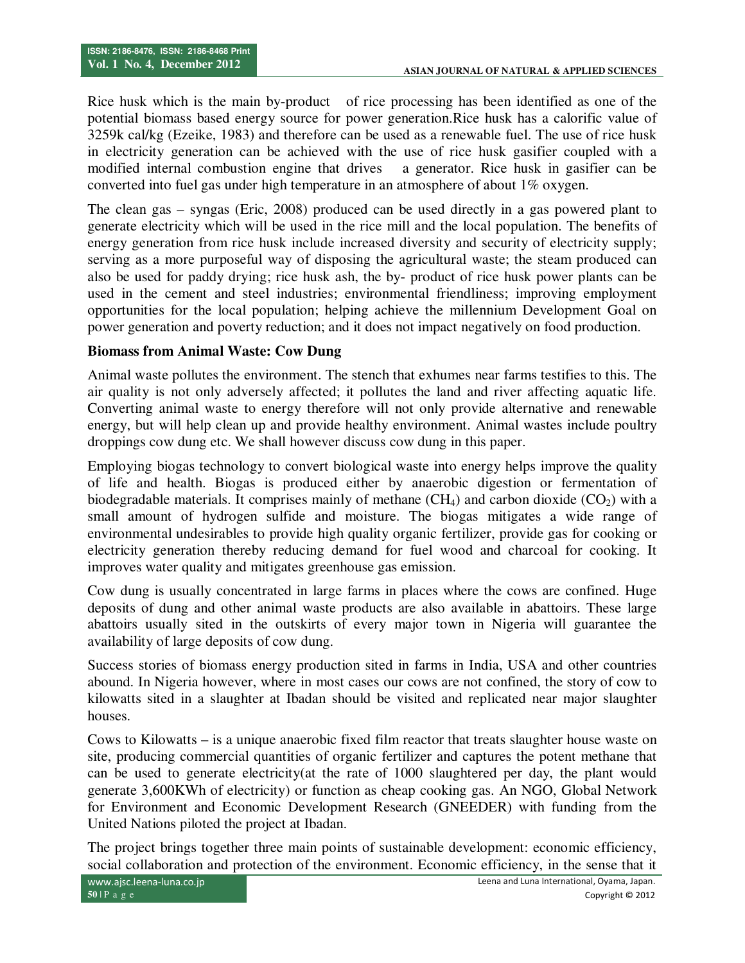Rice husk which is the main by-product of rice processing has been identified as one of the potential biomass based energy source for power generation.Rice husk has a calorific value of 3259k cal/kg (Ezeike, 1983) and therefore can be used as a renewable fuel. The use of rice husk in electricity generation can be achieved with the use of rice husk gasifier coupled with a modified internal combustion engine that drives a generator. Rice husk in gasifier can be converted into fuel gas under high temperature in an atmosphere of about 1% oxygen.

The clean gas – syngas (Eric, 2008) produced can be used directly in a gas powered plant to generate electricity which will be used in the rice mill and the local population. The benefits of energy generation from rice husk include increased diversity and security of electricity supply; serving as a more purposeful way of disposing the agricultural waste; the steam produced can also be used for paddy drying; rice husk ash, the by- product of rice husk power plants can be used in the cement and steel industries; environmental friendliness; improving employment opportunities for the local population; helping achieve the millennium Development Goal on power generation and poverty reduction; and it does not impact negatively on food production.

### **Biomass from Animal Waste: Cow Dung**

Animal waste pollutes the environment. The stench that exhumes near farms testifies to this. The air quality is not only adversely affected; it pollutes the land and river affecting aquatic life. Converting animal waste to energy therefore will not only provide alternative and renewable energy, but will help clean up and provide healthy environment. Animal wastes include poultry droppings cow dung etc. We shall however discuss cow dung in this paper.

Employing biogas technology to convert biological waste into energy helps improve the quality of life and health. Biogas is produced either by anaerobic digestion or fermentation of biodegradable materials. It comprises mainly of methane  $(CH_4)$  and carbon dioxide  $(CO_2)$  with a small amount of hydrogen sulfide and moisture. The biogas mitigates a wide range of environmental undesirables to provide high quality organic fertilizer, provide gas for cooking or electricity generation thereby reducing demand for fuel wood and charcoal for cooking. It improves water quality and mitigates greenhouse gas emission.

Cow dung is usually concentrated in large farms in places where the cows are confined. Huge deposits of dung and other animal waste products are also available in abattoirs. These large abattoirs usually sited in the outskirts of every major town in Nigeria will guarantee the availability of large deposits of cow dung.

Success stories of biomass energy production sited in farms in India, USA and other countries abound. In Nigeria however, where in most cases our cows are not confined, the story of cow to kilowatts sited in a slaughter at Ibadan should be visited and replicated near major slaughter houses.

Cows to Kilowatts – is a unique anaerobic fixed film reactor that treats slaughter house waste on site, producing commercial quantities of organic fertilizer and captures the potent methane that can be used to generate electricity(at the rate of 1000 slaughtered per day, the plant would generate 3,600KWh of electricity) or function as cheap cooking gas. An NGO, Global Network for Environment and Economic Development Research (GNEEDER) with funding from the United Nations piloted the project at Ibadan.

The project brings together three main points of sustainable development: economic efficiency, social collaboration and protection of the environment. Economic efficiency, in the sense that it